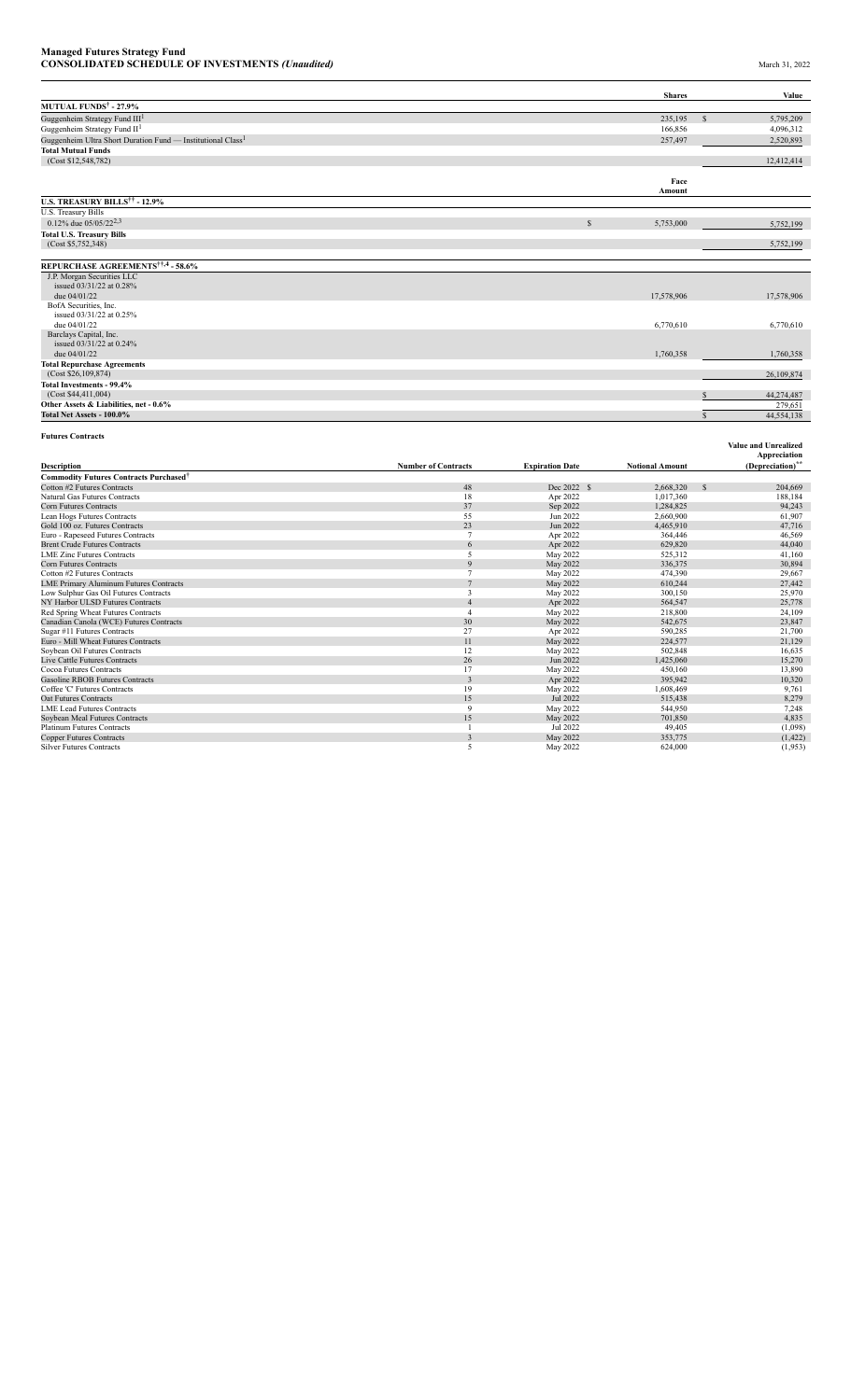|                                                                         |                            |                        | <b>Shares</b>          |               | Value                        |
|-------------------------------------------------------------------------|----------------------------|------------------------|------------------------|---------------|------------------------------|
| <b>MUTUAL FUNDS<sup>†</sup> - 27.9%</b>                                 |                            |                        |                        |               |                              |
| Guggenheim Strategy Fund III <sup>1</sup>                               |                            |                        | 235,195                | $\mathcal{S}$ | 5,795,209                    |
| Guggenheim Strategy Fund II <sup>1</sup>                                |                            |                        | 166,856                |               | 4,096,312                    |
| Guggenheim Ultra Short Duration Fund — Institutional Class <sup>1</sup> |                            |                        | 257,497                |               |                              |
|                                                                         |                            |                        |                        |               | 2,520,893                    |
| <b>Total Mutual Funds</b><br>(Cost \$12,548,782)                        |                            |                        |                        |               |                              |
|                                                                         |                            |                        |                        |               | 12,412,414                   |
|                                                                         |                            |                        | Face                   |               |                              |
|                                                                         |                            |                        | Amount                 |               |                              |
| <b>U.S. TREASURY BILLS<sup>††</sup> - 12.9%</b>                         |                            |                        |                        |               |                              |
| U.S. Treasury Bills                                                     |                            |                        |                        |               |                              |
| 0.12% due $05/05/22^{2,3}$                                              |                            | $\mathcal{S}$          | 5,753,000              |               |                              |
|                                                                         |                            |                        |                        |               | 5,752,199                    |
| <b>Total U.S. Treasury Bills</b><br>(Cost \$5,752,348)                  |                            |                        |                        |               | 5,752,199                    |
|                                                                         |                            |                        |                        |               |                              |
| REPURCHASE AGREEMENTS <sup>††,4</sup> - 58.6%                           |                            |                        |                        |               |                              |
| J.P. Morgan Securities LLC                                              |                            |                        |                        |               |                              |
| issued 03/31/22 at 0.28%                                                |                            |                        |                        |               |                              |
| due 04/01/22                                                            |                            |                        | 17,578,906             |               | 17,578,906                   |
| BofA Securities, Inc.                                                   |                            |                        |                        |               |                              |
| issued 03/31/22 at 0.25%                                                |                            |                        |                        |               |                              |
| due 04/01/22                                                            |                            |                        | 6,770,610              |               | 6,770,610                    |
| Barclays Capital, Inc.                                                  |                            |                        |                        |               |                              |
| issued 03/31/22 at 0.24%                                                |                            |                        |                        |               |                              |
| due $04/01/22$                                                          |                            |                        | 1,760,358              |               | 1,760,358                    |
| <b>Total Repurchase Agreements</b>                                      |                            |                        |                        |               |                              |
| (Cost \$26,109,874)                                                     |                            |                        |                        |               | 26,109,874                   |
| Total Investments - 99.4%                                               |                            |                        |                        |               |                              |
| (Cost \$44,411,004)                                                     |                            |                        |                        |               | 44,274,487                   |
| Other Assets & Liabilities, net - 0.6%                                  |                            |                        |                        |               | 279,651                      |
| Total Net Assets - 100.0%                                               |                            |                        |                        | $\mathcal{S}$ | 44,554,138                   |
| <b>Futures Contracts</b>                                                |                            |                        |                        |               |                              |
|                                                                         |                            |                        |                        |               | <b>Value and Unrealized</b>  |
|                                                                         |                            |                        |                        |               | Appreciation                 |
| Description                                                             | <b>Number of Contracts</b> | <b>Expiration Date</b> | <b>Notional Amount</b> |               | (Depreciation) <sup>**</sup> |
| <b>Commodity Futures Contracts Purchased<sup>†</sup></b>                |                            |                        |                        |               |                              |
| Cotton #2 Futures Contracts                                             | 48                         | Dec 2022 \$            | 2,668,320              | <sup>\$</sup> | 204,669                      |
| Natural Gas Futures Contracts                                           | 18                         | Apr 2022               | 1,017,360              |               | 188,184                      |
| <b>Corn Futures Contracts</b>                                           | 37                         | Sep 2022               | 1,284,825              |               | 94,243                       |
| Lean Hogs Futures Contracts                                             | 55                         | Jun 2022               | 2,660,900              |               | 61,907                       |
| Gold 100 oz. Futures Contracts                                          | 23                         | Jun 2022               | 4,465,910              |               | 47,716                       |
| Euro - Rapeseed Futures Contracts                                       | $7\phantom{.0}$            | Apr 2022               | 364,446                |               | 46,569                       |
| <b>Brent Crude Futures Contracts</b>                                    | 6                          | Apr 2022               | 629,820                |               | 44,040                       |
| <b>LME Zinc Futures Contracts</b>                                       | 5                          | May 2022               | 525,312                |               | 41,160                       |
| <b>Corn Futures Contracts</b>                                           | 9                          | May 2022               | 336,375                |               | 30,894                       |
| Cotton #2 Futures Contracts                                             | $\overline{7}$             | May 2022               | 474,390                |               | 29,667                       |
| <b>LME Primary Aluminum Futures Contracts</b>                           |                            | May 2022               | 610,244                |               | 27,442                       |
| Low Sulphur Gas Oil Futures Contracts                                   | 3                          | May 2022               | 300,150                |               | 25,970                       |
| NY Harbor ULSD Futures Contracts                                        | $\overline{4}$             | Apr 2022               | 564,547                |               | 25,778                       |
| Red Spring Wheat Futures Contracts                                      | $\overline{4}$             | May 2022               | 218,800                |               | 24,109                       |
| Canadian Canola (WCE) Futures Contracts                                 | 30                         | May 2022               | 542,675                |               | 23,847                       |
| Sugar #11 Futures Contracts                                             | 27                         | Apr 2022               | 590,285                |               | 21,700                       |
| Euro - Mill Wheat Futures Contracts                                     | 11                         | May 2022               | 224,577                |               | 21,129                       |
| Soybean Oil Futures Contracts                                           | 12                         | May 2022               | 502,848                |               | 16,635                       |
| Live Cattle Futures Contracts                                           | 26                         | Jun 2022               | 1,425,060              |               | 15,270                       |

| 2.668.320 | S | 204,669 |
|-----------|---|---------|
| 1,017,360 |   | 188.184 |
| 1.284.825 |   | 94.243  |
| 2,660,900 |   | 61.907  |
| 4.465.910 |   | 47,716  |
| 364,446   |   | 46,569  |
| 629.820   |   | 44.040  |

| сонгташте соннасы                             | $\mathcal{I}$ | $\mathcal{E}$ | 1,20,02   | 74,243   |
|-----------------------------------------------|---------------|---------------|-----------|----------|
| Lean Hogs Futures Contracts                   | 55            | Jun 2022      | 2,660,900 | 61,907   |
| Gold 100 oz. Futures Contracts                | 23            | Jun 2022      | 4,465,910 | 47,716   |
| Euro - Rapeseed Futures Contracts             |               | Apr 2022      | 364,446   | 46,569   |
| <b>Brent Crude Futures Contracts</b>          | 6             | Apr 2022      | 629,820   | 44,040   |
| <b>LME Zinc Futures Contracts</b>             |               | May 2022      | 525,312   | 41,160   |
| <b>Corn Futures Contracts</b>                 | $\mathbf Q$   | May 2022      | 336,375   | 30,894   |
| Cotton #2 Futures Contracts                   |               | May 2022      | 474,390   | 29,667   |
| <b>LME Primary Aluminum Futures Contracts</b> |               | May 2022      | 610,244   | 27,442   |
| Low Sulphur Gas Oil Futures Contracts         |               | May 2022      | 300,150   | 25,970   |
| NY Harbor ULSD Futures Contracts              |               | Apr 2022      | 564,547   | 25,778   |
| Red Spring Wheat Futures Contracts            |               | May 2022      | 218,800   | 24,109   |
| Canadian Canola (WCE) Futures Contracts       | 30            | May 2022      | 542,675   | 23,847   |
| Sugar #11 Futures Contracts                   | 27            | Apr 2022      | 590,285   | 21,700   |
| Euro - Mill Wheat Futures Contracts           | 11            | May 2022      | 224,577   | 21,129   |
| Soybean Oil Futures Contracts                 | 12            | May 2022      | 502,848   | 16,635   |
| Live Cattle Futures Contracts                 | 26            | Jun 2022      | 1,425,060 | 15,270   |
| Cocoa Futures Contracts                       | 17            | May 2022      | 450,160   | 13,890   |
| <b>Gasoline RBOB Futures Contracts</b>        |               | Apr 2022      | 395,942   | 10,320   |
| Coffee 'C' Futures Contracts                  | 19            | May 2022      | 1,608,469 | 9,761    |
| <b>Oat Futures Contracts</b>                  | 15            | Jul 2022      | 515,438   | 8,279    |
| <b>LME Lead Futures Contracts</b>             | $\mathbf Q$   | May 2022      | 544,950   | 7,248    |
| Soybean Meal Futures Contracts                | 15            | May 2022      | 701,850   | 4,835    |
| <b>Platinum Futures Contracts</b>             |               | Jul 2022      | 49,405    | (1,098)  |
| <b>Copper Futures Contracts</b>               |               | May 2022      | 353,775   | (1, 422) |
| <b>Silver Futures Contracts</b>               |               | May 2022      | 624,000   | (1, 953) |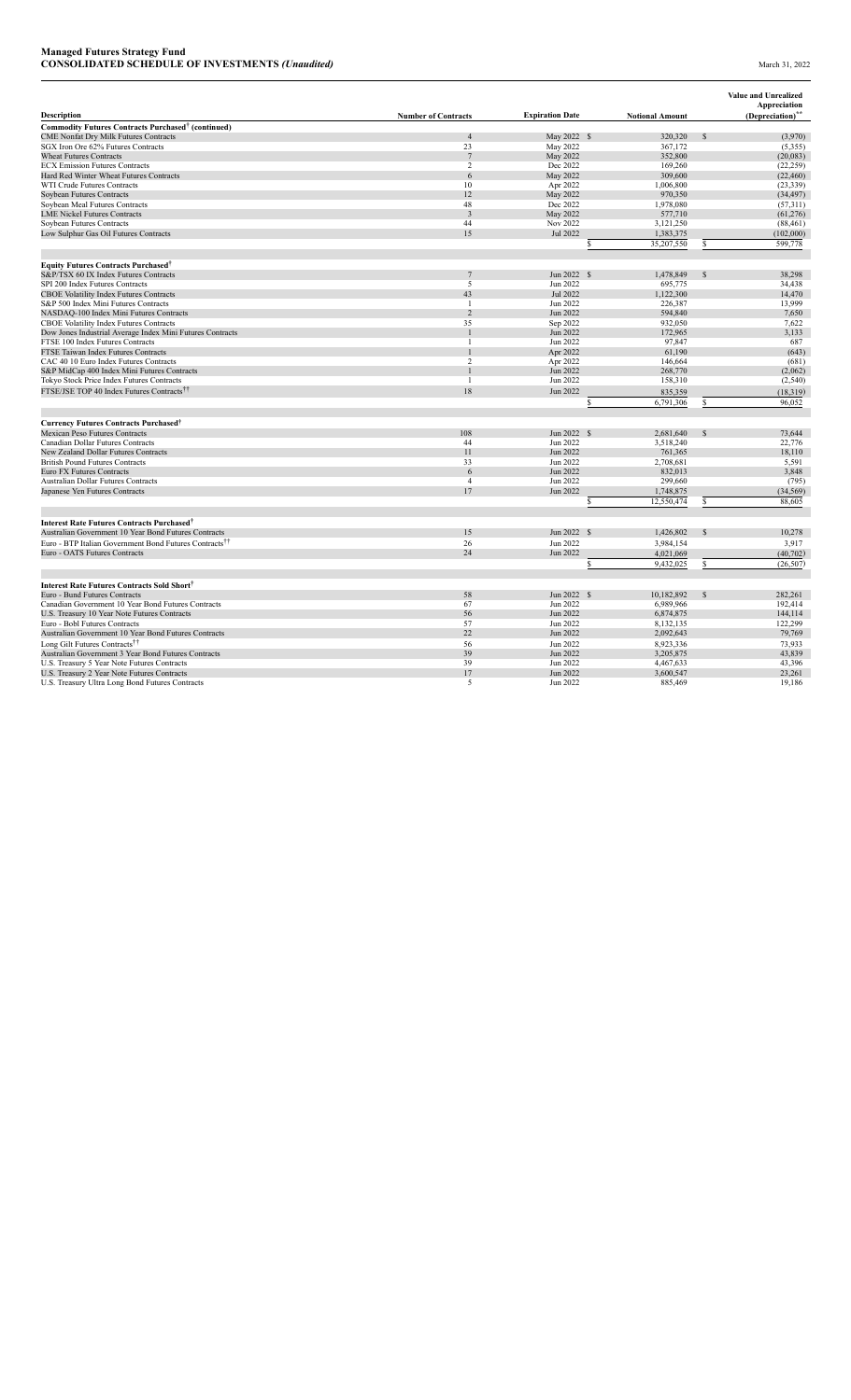|                                                                                                                |                            |                        |                        |               | <b>Value and Unrealized</b>  |
|----------------------------------------------------------------------------------------------------------------|----------------------------|------------------------|------------------------|---------------|------------------------------|
| <b>Description</b>                                                                                             |                            | <b>Expiration Date</b> |                        |               | Appreciation                 |
|                                                                                                                | <b>Number of Contracts</b> |                        | <b>Notional Amount</b> |               | (Depreciation) <sup>**</sup> |
| Commodity Futures Contracts Purchased <sup>†</sup> (continued)<br><b>CME Nonfat Dry Milk Futures Contracts</b> | $\overline{4}$             | May 2022 \$            | 320,320                | $\mathcal{S}$ |                              |
| SGX Iron Ore 62% Futures Contracts                                                                             | 23                         | May 2022               | 367,172                |               | (3,970)<br>(5,355)           |
| <b>Wheat Futures Contracts</b>                                                                                 | 7                          | May 2022               | 352,800                |               | (20,083)                     |
| <b>ECX Emission Futures Contracts</b>                                                                          | 2                          | Dec 2022               | 169,260                |               | (22, 259)                    |
| Hard Red Winter Wheat Futures Contracts                                                                        | 6                          | May 2022               | 309,600                |               | (22, 460)                    |
| WTI Crude Futures Contracts                                                                                    | 10                         | Apr 2022               | 1,006,800              |               | (23, 339)                    |
| Soybean Futures Contracts                                                                                      | 12                         | May 2022               | 970,350                |               | (34, 497)                    |
| Soybean Meal Futures Contracts                                                                                 | 48                         | Dec 2022               | 1,978,080              |               | (57,311)                     |
| <b>LME Nickel Futures Contracts</b>                                                                            | $\overline{3}$             | May 2022               | 577,710                |               | (61, 276)                    |
| Soybean Futures Contracts                                                                                      | 44                         | Nov 2022               | 3,121,250              |               | (88, 461)                    |
| Low Sulphur Gas Oil Futures Contracts                                                                          | 15                         | Jul 2022               | 1,383,375              |               | (102,000)                    |
|                                                                                                                |                            |                        | 35,207,550<br>S        | S             | 599,778                      |
|                                                                                                                |                            |                        |                        |               |                              |
| <b>Equity Futures Contracts Purchased<sup>†</sup></b>                                                          |                            |                        |                        |               |                              |
| S&P/TSX 60 IX Index Futures Contracts                                                                          |                            | Jun 2022 \$            | 1,478,849              | $\mathcal{S}$ | 38,298                       |
| SPI 200 Index Futures Contracts                                                                                | 5                          | Jun 2022               | 695,775                |               | 34,438                       |
| <b>CBOE Volatility Index Futures Contracts</b>                                                                 | 43                         | Jul 2022               | 1,122,300              |               | 14,470                       |
| S&P 500 Index Mini Futures Contracts                                                                           | -1                         | Jun 2022               | 226,387                |               | 13,999                       |
| NASDAQ-100 Index Mini Futures Contracts                                                                        | $\overline{c}$             | Jun 2022               | 594,840                |               | 7,650                        |
| CBOE Volatility Index Futures Contracts                                                                        | 35                         | Sep 2022               | 932,050                |               | 7,622                        |
| Dow Jones Industrial Average Index Mini Futures Contracts                                                      |                            | Jun 2022               | 172,965                |               | 3.133                        |
| FTSE 100 Index Futures Contracts                                                                               |                            | Jun 2022               | 97,847                 |               | 687                          |
| FTSE Taiwan Index Futures Contracts                                                                            |                            | Apr 2022               | 61,190                 |               | (643)                        |
| CAC 40 10 Euro Index Futures Contracts                                                                         | $\overline{c}$             | Apr 2022               | 146,664                |               | (681)                        |
| S&P MidCap 400 Index Mini Futures Contracts                                                                    |                            | Jun 2022               | 268,770                |               | (2,062)                      |
| Tokyo Stock Price Index Futures Contracts                                                                      | $\overline{1}$             | Jun 2022               | 158,310                |               | (2,540)                      |
| FTSE/JSE TOP 40 Index Futures Contracts <sup>††</sup>                                                          | 18                         | Jun 2022               | 835,359                |               | (18, 319)                    |
|                                                                                                                |                            |                        | 6,791,306<br>ς         |               | 96,052                       |
|                                                                                                                |                            |                        |                        |               |                              |
| <b>Currency Futures Contracts Purchased<sup>†</sup></b>                                                        | 108                        | Jun 2022 \$            |                        |               | 73,644                       |
| Mexican Peso Futures Contracts<br>Canadian Dollar Futures Contracts                                            | 44                         |                        | 2,681,640              |               |                              |
| New Zealand Dollar Futures Contracts                                                                           | 11                         | Jun 2022               | 3,518,240              |               | 22,776                       |
| <b>British Pound Futures Contracts</b>                                                                         | 33                         | Jun 2022<br>Jun 2022   | 761,365                |               | 18,110                       |
| <b>Euro FX Futures Contracts</b>                                                                               | 6                          | Jun 2022               | 2,708,681<br>832,013   |               | 5,591<br>3,848               |
| Australian Dollar Futures Contracts                                                                            | $\overline{4}$             | Jun 2022               | 299,660                |               |                              |
| Japanese Yen Futures Contracts                                                                                 | 17                         | Jun 2022               |                        |               | (795)                        |
|                                                                                                                |                            |                        | 1,748,875              |               | (34, 569)                    |
|                                                                                                                |                            |                        | 12,550,474             |               | 88,605                       |
| <b>Interest Rate Futures Contracts Purchased<sup>†</sup></b>                                                   |                            |                        |                        |               |                              |
| Australian Government 10 Year Bond Futures Contracts                                                           | 15                         | Jun 2022 \$            | 1,426,802              |               | 10,278                       |
| Euro - BTP Italian Government Bond Futures Contracts <sup>††</sup>                                             | 26                         | Jun 2022               | 3,984,154              |               | 3,917                        |
| Euro - OATS Futures Contracts                                                                                  | 24                         | Jun 2022               | 4,021,069              |               | (40,702)                     |
|                                                                                                                |                            |                        | 9,432,025<br>Ś         | S             | (26, 507)                    |
|                                                                                                                |                            |                        |                        |               |                              |
| <b>Interest Rate Futures Contracts Sold Short</b> †                                                            |                            |                        |                        |               |                              |
| Euro - Bund Futures Contracts                                                                                  | 58                         | Jun 2022 \$            | 10,182,892             | $\mathcal{S}$ | 282.261                      |
| Canadian Government 10 Year Bond Futures Contracts                                                             | 67                         | Jun 2022               | 6,989,966              |               | 192,414                      |
| U.S. Treasury 10 Year Note Futures Contracts                                                                   | 56                         | Jun 2022               | 6,874,875              |               | 144,114                      |
| Euro - Bobl Futures Contracts                                                                                  | 57                         | Jun 2022               | 8,132,135              |               | 122,299                      |
| Australian Government 10 Year Bond Futures Contracts                                                           | 22                         | Jun 2022               | 2,092,643              |               | 79,769                       |
| Long Gilt Futures Contracts <sup>††</sup>                                                                      | 56                         | Jun 2022               | 8,923,336              |               | 73,933                       |
| Australian Government 3 Year Bond Futures Contracts                                                            | 39                         | Jun 2022               | 3,205,875              |               | 43,839                       |
| U.S. Treasury 5 Year Note Futures Contracts                                                                    | 39                         | Jun 2022               | 4,467,633              |               | 43,396                       |
| U.S. Treasury 2 Year Note Futures Contracts                                                                    | 17                         | Jun 2022               | 3,600,547              |               | 23,261                       |
| U.S. Treasury Ultra Long Bond Futures Contracts                                                                | 5                          | Jun 2022               | 885,469                |               | 19,186                       |